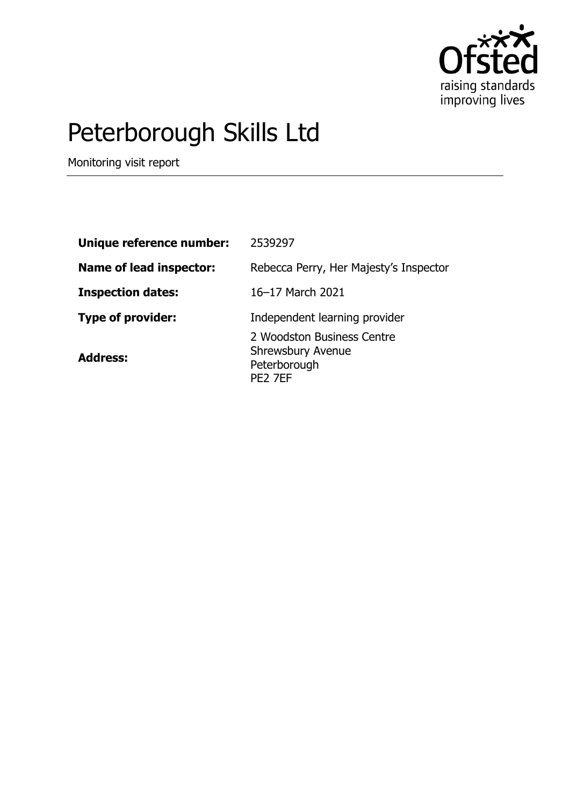

# Peterborough Skills Ltd

Monitoring visit report

| Unique reference number:       | 2539297                                                                           |
|--------------------------------|-----------------------------------------------------------------------------------|
| <b>Name of lead inspector:</b> | Rebecca Perry, Her Majesty's Inspector                                            |
| <b>Inspection dates:</b>       | 16-17 March 2021                                                                  |
| <b>Type of provider:</b>       | Independent learning provider                                                     |
| <b>Address:</b>                | 2 Woodston Business Centre<br><b>Shrewsbury Avenue</b><br>Peterborough<br>PE2 7EF |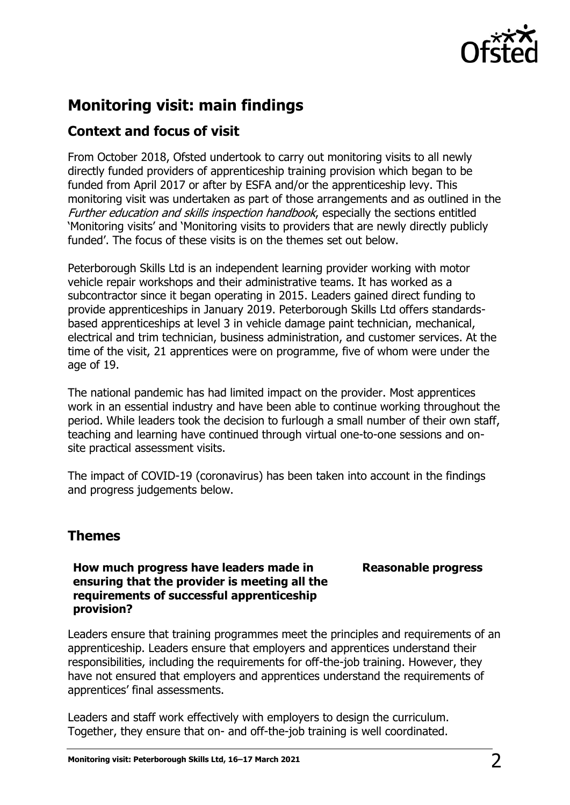

## **Monitoring visit: main findings**

## **Context and focus of visit**

From October 2018, Ofsted undertook to carry out monitoring visits to all newly directly funded providers of apprenticeship training provision which began to be funded from April 2017 or after by ESFA and/or the apprenticeship levy. This monitoring visit was undertaken as part of those arrangements and as outlined in the Further education and skills inspection handbook, especially the sections entitled 'Monitoring visits' and 'Monitoring visits to providers that are newly directly publicly funded'. The focus of these visits is on the themes set out below.

Peterborough Skills Ltd is an independent learning provider working with motor vehicle repair workshops and their administrative teams. It has worked as a subcontractor since it began operating in 2015. Leaders gained direct funding to provide apprenticeships in January 2019. Peterborough Skills Ltd offers standardsbased apprenticeships at level 3 in vehicle damage paint technician, mechanical, electrical and trim technician, business administration, and customer services. At the time of the visit, 21 apprentices were on programme, five of whom were under the age of 19.

The national pandemic has had limited impact on the provider. Most apprentices work in an essential industry and have been able to continue working throughout the period. While leaders took the decision to furlough a small number of their own staff, teaching and learning have continued through virtual one-to-one sessions and onsite practical assessment visits.

The impact of COVID-19 (coronavirus) has been taken into account in the findings and progress judgements below.

## **Themes**

#### **How much progress have leaders made in ensuring that the provider is meeting all the requirements of successful apprenticeship provision?**

### **Reasonable progress**

Leaders ensure that training programmes meet the principles and requirements of an apprenticeship. Leaders ensure that employers and apprentices understand their responsibilities, including the requirements for off-the-job training. However, they have not ensured that employers and apprentices understand the requirements of apprentices' final assessments.

Leaders and staff work effectively with employers to design the curriculum. Together, they ensure that on- and off-the-job training is well coordinated.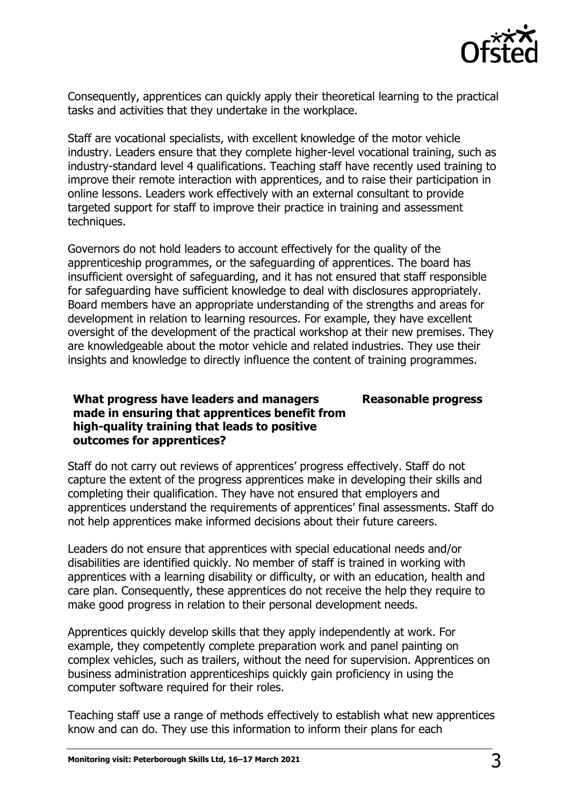

Consequently, apprentices can quickly apply their theoretical learning to the practical tasks and activities that they undertake in the workplace.

Staff are vocational specialists, with excellent knowledge of the motor vehicle industry. Leaders ensure that they complete higher-level vocational training, such as industry-standard level 4 qualifications. Teaching staff have recently used training to improve their remote interaction with apprentices, and to raise their participation in online lessons. Leaders work effectively with an external consultant to provide targeted support for staff to improve their practice in training and assessment techniques.

Governors do not hold leaders to account effectively for the quality of the apprenticeship programmes, or the safeguarding of apprentices. The board has insufficient oversight of safeguarding, and it has not ensured that staff responsible for safeguarding have sufficient knowledge to deal with disclosures appropriately. Board members have an appropriate understanding of the strengths and areas for development in relation to learning resources. For example, they have excellent oversight of the development of the practical workshop at their new premises. They are knowledgeable about the motor vehicle and related industries. They use their insights and knowledge to directly influence the content of training programmes.

#### **What progress have leaders and managers made in ensuring that apprentices benefit from high-quality training that leads to positive outcomes for apprentices? Reasonable progress**

Staff do not carry out reviews of apprentices' progress effectively. Staff do not capture the extent of the progress apprentices make in developing their skills and completing their qualification. They have not ensured that employers and apprentices understand the requirements of apprentices' final assessments. Staff do not help apprentices make informed decisions about their future careers.

Leaders do not ensure that apprentices with special educational needs and/or disabilities are identified quickly. No member of staff is trained in working with apprentices with a learning disability or difficulty, or with an education, health and care plan. Consequently, these apprentices do not receive the help they require to make good progress in relation to their personal development needs.

Apprentices quickly develop skills that they apply independently at work. For example, they competently complete preparation work and panel painting on complex vehicles, such as trailers, without the need for supervision. Apprentices on business administration apprenticeships quickly gain proficiency in using the computer software required for their roles.

Teaching staff use a range of methods effectively to establish what new apprentices know and can do. They use this information to inform their plans for each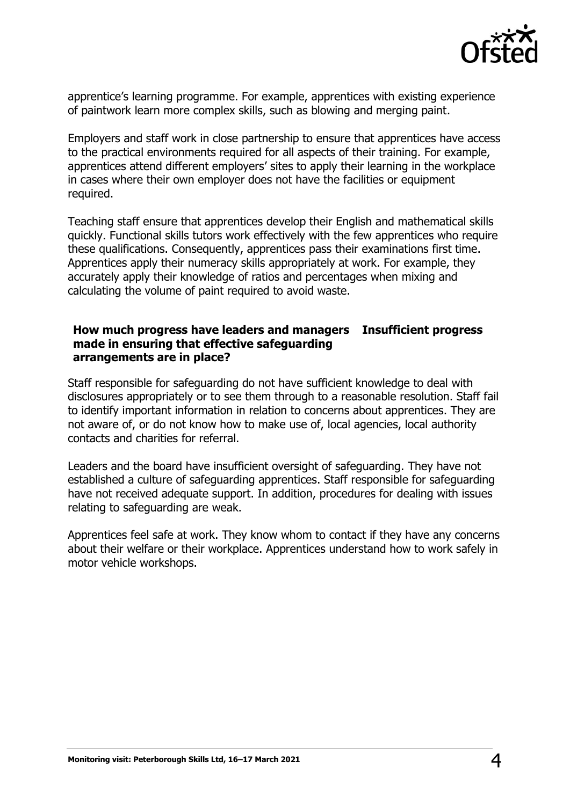

apprentice's learning programme. For example, apprentices with existing experience of paintwork learn more complex skills, such as blowing and merging paint.

Employers and staff work in close partnership to ensure that apprentices have access to the practical environments required for all aspects of their training. For example, apprentices attend different employers' sites to apply their learning in the workplace in cases where their own employer does not have the facilities or equipment required.

Teaching staff ensure that apprentices develop their English and mathematical skills quickly. Functional skills tutors work effectively with the few apprentices who require these qualifications. Consequently, apprentices pass their examinations first time. Apprentices apply their numeracy skills appropriately at work. For example, they accurately apply their knowledge of ratios and percentages when mixing and calculating the volume of paint required to avoid waste.

#### **How much progress have leaders and managers Insufficient progress made in ensuring that effective safeguarding arrangements are in place?**

Staff responsible for safeguarding do not have sufficient knowledge to deal with disclosures appropriately or to see them through to a reasonable resolution. Staff fail to identify important information in relation to concerns about apprentices. They are not aware of, or do not know how to make use of, local agencies, local authority contacts and charities for referral.

Leaders and the board have insufficient oversight of safeguarding. They have not established a culture of safeguarding apprentices. Staff responsible for safeguarding have not received adequate support. In addition, procedures for dealing with issues relating to safeguarding are weak.

Apprentices feel safe at work. They know whom to contact if they have any concerns about their welfare or their workplace. Apprentices understand how to work safely in motor vehicle workshops.